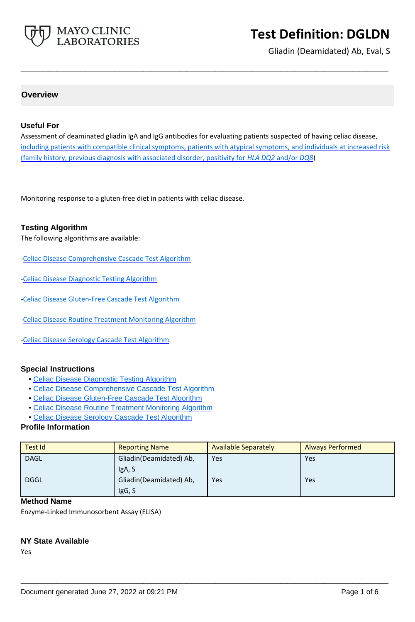

Gliadin (Deamidated) Ab, Eval, S

### **Overview**

### **Useful For**

Assessment of deaminated gliadin IgA and IgG antibodies for evaluating patients suspected of having celiac disease, including patients with compatible clinical symptoms, patients with atypical symptoms, and individuals at increased risk (family history, previous diagnosis with associated disorder, positivity for *HLA DQ2* and/or *DQ8*)

**\_\_\_\_\_\_\_\_\_\_\_\_\_\_\_\_\_\_\_\_\_\_\_\_\_\_\_\_\_\_\_\_\_\_\_\_\_\_\_\_\_\_\_\_\_\_\_\_\_\_\_**

Monitoring response to a gluten-free diet in patients with celiac disease.

### **Testing Algorithm**

The following algorithms are available:

- [-Celiac Disease Comprehensive Cascade Test Algorithm](https://www.mayocliniclabs.com/articles/resources/-/media/it-mmfiles/special%20instructions/celiac-disease-comprehensive-cascade-test-algorithm.pdf)
- [-Celiac Disease Diagnostic Testing Algorithm](https://www.mayocliniclabs.com/it-mmfiles/Celiac_Disease_Diagnostic_Testing_Algorithm.pdf)
- [-Celiac Disease Gluten-Free Cascade Test Algorithm](https://www.mayocliniclabs.com/articles/resources/-/media/it-mmfiles/special%20instructions/celiac_disease_gluten-free_cascade_test_algorithm.pdf)
- [-Celiac Disease Routine Treatment Monitoring Algorithm](https://www.mayocliniclabs.com/it-mmfiles/Celiac_Disease_Routine_Treatment_Monitoring_Algorithm.pdf)
- [-Celiac Disease Serology Cascade Test Algorithm](https://www.mayocliniclabs.com/articles/resources/-/media/it-mmfiles/special%20instructions/Celiac_Disease_Serology_Cascade_Test_Algorithm.pdf)

### **Special Instructions**

- • [Celiac Disease Diagnostic Testing Algorithm](http://www.mayocliniclabs.com/it-mmfiles/Celiac_Disease_Diagnostic_Testing_Algorithm.pdf)
- • [Celiac Disease Comprehensive Cascade Test Algorithm](https://www.mayocliniclabs.com/articles/resources/-/media/it-mmfiles/special%20instructions/celiac-disease-comprehensive-cascade-test-algorithm.pdf)
- • [Celiac Disease Gluten-Free Cascade Test Algorithm](https://www.mayocliniclabs.com/articles/resources/-/media/it-mmfiles/special%20instructions/celiac_disease_gluten-free_cascade_test_algorithm.pdf)
- • [Celiac Disease Routine Treatment Monitoring Algorithm](http://www.mayocliniclabs.com/it-mmfiles/Celiac_Disease_Routine_Treatment_Monitoring_Algorithm.pdf)
- • [Celiac Disease Serology Cascade Test Algorithm](https://www.mayocliniclabs.com/articles/resources/-/media/it-mmfiles/special%20instructions/Celiac_Disease_Serology_Cascade_Test_Algorithm.pdf)

#### **Profile Information**

| Test Id     | <b>Reporting Name</b>             | <b>Available Separately</b> | <b>Always Performed</b> |
|-------------|-----------------------------------|-----------------------------|-------------------------|
| <b>DAGL</b> | Gliadin(Deamidated) Ab,<br>IgA, S | Yes                         | Yes                     |
| <b>DGGL</b> | Gliadin(Deamidated) Ab,<br>IgG, S | Yes                         | Yes                     |

**\_\_\_\_\_\_\_\_\_\_\_\_\_\_\_\_\_\_\_\_\_\_\_\_\_\_\_\_\_\_\_\_\_\_\_\_\_\_\_\_\_\_\_\_\_\_\_\_\_\_\_**

### **Method Name**

Enzyme-Linked Immunosorbent Assay (ELISA)

### **NY State Available**

Yes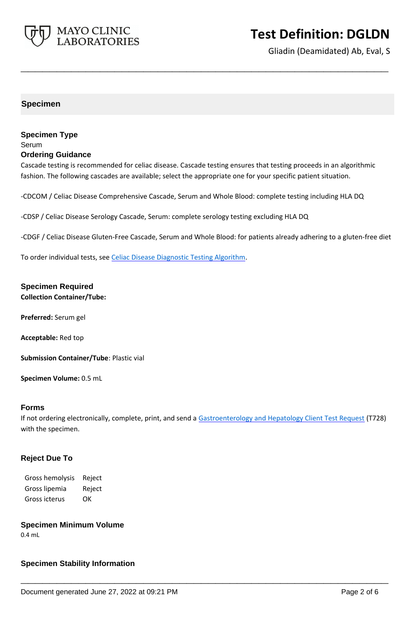

Gliadin (Deamidated) Ab, Eval, S

### **Specimen**

### **Specimen Type** Serum **Ordering Guidance**

Cascade testing is recommended for celiac disease. Cascade testing ensures that testing proceeds in an algorithmic fashion. The following cascades are available; select the appropriate one for your specific patient situation.

**\_\_\_\_\_\_\_\_\_\_\_\_\_\_\_\_\_\_\_\_\_\_\_\_\_\_\_\_\_\_\_\_\_\_\_\_\_\_\_\_\_\_\_\_\_\_\_\_\_\_\_**

-CDCOM / Celiac Disease Comprehensive Cascade, Serum and Whole Blood: complete testing including HLA DQ

-CDSP / Celiac Disease Serology Cascade, Serum: complete serology testing excluding HLA DQ

-CDGF / Celiac Disease Gluten-Free Cascade, Serum and Whole Blood: for patients already adhering to a gluten-free diet

To order individual tests, see [Celiac Disease Diagnostic Testing Algorithm.](https://www.mayocliniclabs.com/it-mmfiles/Celiac_Disease_Diagnostic_Testing_Algorithm.pdf)

### **Specimen Required**

**Collection Container/Tube:**

**Preferred:** Serum gel

**Acceptable:** Red top

**Submission Container/Tube**: Plastic vial

**Specimen Volume:** 0.5 mL

### **Forms**

If not ordering electronically, complete, print, and send a [Gastroenterology and Hepatology Client Test Request](https://www.mayocliniclabs.com/it-mmfiles/gastroenterology-and-hepatology-test-request.pdf) (T728) with the specimen.

**\_\_\_\_\_\_\_\_\_\_\_\_\_\_\_\_\_\_\_\_\_\_\_\_\_\_\_\_\_\_\_\_\_\_\_\_\_\_\_\_\_\_\_\_\_\_\_\_\_\_\_**

### **Reject Due To**

Gross hemolysis Reject Gross lipemia Reject Gross icterus OK

### **Specimen Minimum Volume**

0.4 mL

### **Specimen Stability Information**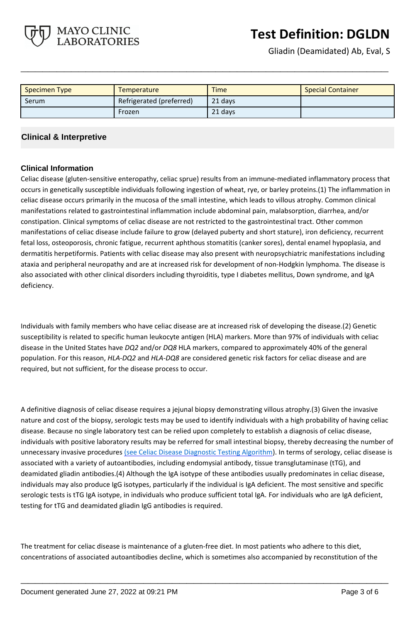Gliadin (Deamidated) Ab, Eval, S

| <b>Specimen Type</b> | Temperature              | <b>Time</b> | <b>Special Container</b> |
|----------------------|--------------------------|-------------|--------------------------|
| Serum                | Refrigerated (preferred) | 21 days     |                          |
|                      | Frozen                   | 21 days     |                          |

**\_\_\_\_\_\_\_\_\_\_\_\_\_\_\_\_\_\_\_\_\_\_\_\_\_\_\_\_\_\_\_\_\_\_\_\_\_\_\_\_\_\_\_\_\_\_\_\_\_\_\_**

### **Clinical & Interpretive**

MAYO CLINIC **LABORATORIES** 

### **Clinical Information**

Celiac disease (gluten-sensitive enteropathy, celiac sprue) results from an immune-mediated inflammatory process that occurs in genetically susceptible individuals following ingestion of wheat, rye, or barley proteins.(1) The inflammation in celiac disease occurs primarily in the mucosa of the small intestine, which leads to villous atrophy. Common clinical manifestations related to gastrointestinal inflammation include abdominal pain, malabsorption, diarrhea, and/or constipation. Clinical symptoms of celiac disease are not restricted to the gastrointestinal tract. Other common manifestations of celiac disease include failure to grow (delayed puberty and short stature), iron deficiency, recurrent fetal loss, osteoporosis, chronic fatigue, recurrent aphthous stomatitis (canker sores), dental enamel hypoplasia, and dermatitis herpetiformis. Patients with celiac disease may also present with neuropsychiatric manifestations including ataxia and peripheral neuropathy and are at increased risk for development of non-Hodgkin lymphoma. The disease is also associated with other clinical disorders including thyroiditis, type I diabetes mellitus, Down syndrome, and IgA deficiency.

Individuals with family members who have celiac disease are at increased risk of developing the disease.(2) Genetic susceptibility is related to specific human leukocyte antigen (HLA) markers. More than 97% of individuals with celiac disease in the United States have *DQ2* and/or *DQ8* HLA markers, compared to approximately 40% of the general population. For this reason, *HLA-DQ2* and *HLA-DQ8* are considered genetic risk factors for celiac disease and are required, but not sufficient, for the disease process to occur.

A definitive diagnosis of celiac disease requires a jejunal biopsy demonstrating villous atrophy.(3) Given the invasive nature and cost of the biopsy, serologic tests may be used to identify individuals with a high probability of having celiac disease. Because no single laboratory test can be relied upon completely to establish a diagnosis of celiac disease, individuals with positive laboratory results may be referred for small intestinal biopsy, thereby decreasing the number of unnecessary invasive procedures (see [Celiac Disease Diagnostic Testing Algorithm](https://www.mayocliniclabs.com/it-mmfiles/Celiac_Disease_Diagnostic_Testing_Algorithm.pdf)). In terms of serology, celiac disease is associated with a variety of autoantibodies, including endomysial antibody, tissue transglutaminase (tTG), and deamidated gliadin antibodies.(4) Although the IgA isotype of these antibodies usually predominates in celiac disease, individuals may also produce IgG isotypes, particularly if the individual is IgA deficient. The most sensitive and specific serologic tests is tTG IgA isotype, in individuals who produce sufficient total IgA. For individuals who are IgA deficient, testing for tTG and deamidated gliadin IgG antibodies is required.

The treatment for celiac disease is maintenance of a gluten-free diet. In most patients who adhere to this diet, concentrations of associated autoantibodies decline, which is sometimes also accompanied by reconstitution of the

**\_\_\_\_\_\_\_\_\_\_\_\_\_\_\_\_\_\_\_\_\_\_\_\_\_\_\_\_\_\_\_\_\_\_\_\_\_\_\_\_\_\_\_\_\_\_\_\_\_\_\_**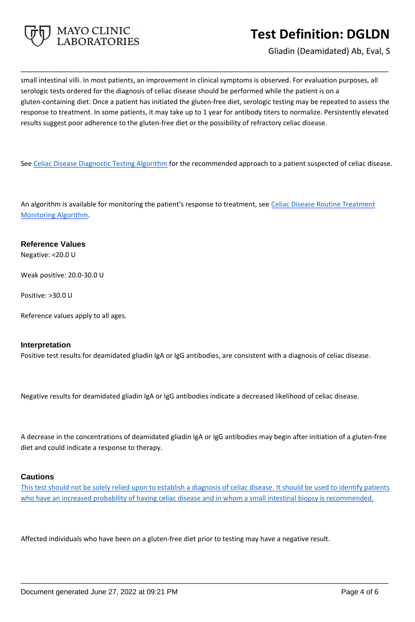

Gliadin (Deamidated) Ab, Eval, S

small intestinal villi. In most patients, an improvement in clinical symptoms is observed. For evaluation purposes, all serologic tests ordered for the diagnosis of celiac disease should be performed while the patient is on a gluten-containing diet. Once a patient has initiated the gluten-free diet, serologic testing may be repeated to assess the response to treatment. In some patients, it may take up to 1 year for antibody titers to normalize. Persistently elevated results suggest poor adherence to the gluten-free diet or the possibility of refractory celiac disease.

**\_\_\_\_\_\_\_\_\_\_\_\_\_\_\_\_\_\_\_\_\_\_\_\_\_\_\_\_\_\_\_\_\_\_\_\_\_\_\_\_\_\_\_\_\_\_\_\_\_\_\_**

See [Celiac Disease Diagnostic Testing Algorithm](https://www.mayocliniclabs.com/it-mmfiles/Celiac_Disease_Diagnostic_Testing_Algorithm.pdf) for the recommended approach to a patient suspected of celiac disease.

An algorithm is available for monitoring the patient's response to treatment, see Celiac Disease Routine Treatment [Monitoring Algorithm](https://www.mayocliniclabs.com/it-mmfiles/Celiac_Disease_Routine_Treatment_Monitoring_Algorithm.pdf).

### **Reference Values**

Negative: <20.0 U

Weak positive: 20.0-30.0 U

Positive: >30.0 U

Reference values apply to all ages.

### **Interpretation**

Positive test results for deamidated gliadin IgA or IgG antibodies, are consistent with a diagnosis of celiac disease.

Negative results for deamidated gliadin IgA or IgG antibodies indicate a decreased likelihood of celiac disease.

A decrease in the concentrations of deamidated gliadin IgA or IgG antibodies may begin after initiation of a gluten-free diet and could indicate a response to therapy.

### **Cautions**

This test should not be solely relied upon to establish a diagnosis of celiac disease. It should be used to identify patients who have an increased probability of having celiac disease and in whom a small intestinal biopsy is recommended.

**\_\_\_\_\_\_\_\_\_\_\_\_\_\_\_\_\_\_\_\_\_\_\_\_\_\_\_\_\_\_\_\_\_\_\_\_\_\_\_\_\_\_\_\_\_\_\_\_\_\_\_**

Affected individuals who have been on a gluten-free diet prior to testing may have a negative result.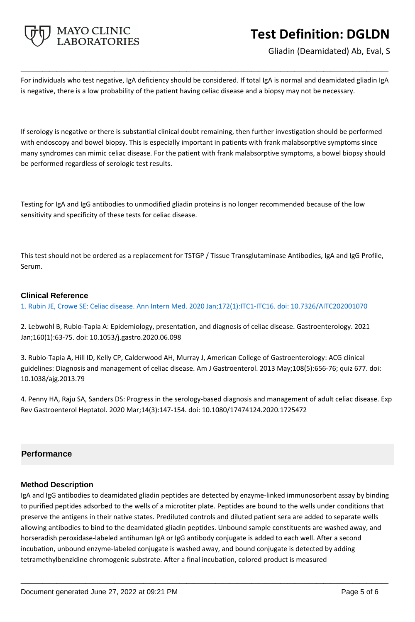

Gliadin (Deamidated) Ab, Eval, S

For individuals who test negative, IgA deficiency should be considered. If total IgA is normal and deamidated gliadin IgA is negative, there is a low probability of the patient having celiac disease and a biopsy may not be necessary.

**\_\_\_\_\_\_\_\_\_\_\_\_\_\_\_\_\_\_\_\_\_\_\_\_\_\_\_\_\_\_\_\_\_\_\_\_\_\_\_\_\_\_\_\_\_\_\_\_\_\_\_**

If serology is negative or there is substantial clinical doubt remaining, then further investigation should be performed with endoscopy and bowel biopsy. This is especially important in patients with frank malabsorptive symptoms since many syndromes can mimic celiac disease. For the patient with frank malabsorptive symptoms, a bowel biopsy should be performed regardless of serologic test results.

Testing for IgA and IgG antibodies to unmodified gliadin proteins is no longer recommended because of the low sensitivity and specificity of these tests for celiac disease.

This test should not be ordered as a replacement for TSTGP / Tissue Transglutaminase Antibodies, IgA and IgG Profile, Serum.

### **Clinical Reference**

1. Rubin JE, Crowe SE: Celiac disease. Ann Intern Med. 2020 Jan;172(1):ITC1-ITC16. doi: 10.7326/AITC202001070

2. Lebwohl B, Rubio-Tapia A: Epidemiology, presentation, and diagnosis of celiac disease. Gastroenterology. 2021 Jan;160(1):63-75. doi: 10.1053/j.gastro.2020.06.098

3. Rubio-Tapia A, Hill ID, Kelly CP, Calderwood AH, Murray J, American College of Gastroenterology: ACG clinical guidelines: Diagnosis and management of celiac disease. Am J Gastroenterol. 2013 May;108(5):656-76; quiz 677. doi: 10.1038/ajg.2013.79

4. Penny HA, Raju SA, Sanders DS: Progress in the serology-based diagnosis and management of adult celiac disease. Exp Rev Gastroenterol Heptatol. 2020 Mar;14(3):147-154. doi: 10.1080/17474124.2020.1725472

### **Performance**

### **Method Description**

IgA and IgG antibodies to deamidated gliadin peptides are detected by enzyme-linked immunosorbent assay by binding to purified peptides adsorbed to the wells of a microtiter plate. Peptides are bound to the wells under conditions that preserve the antigens in their native states. Prediluted controls and diluted patient sera are added to separate wells allowing antibodies to bind to the deamidated gliadin peptides. Unbound sample constituents are washed away, and horseradish peroxidase-labeled antihuman IgA or IgG antibody conjugate is added to each well. After a second incubation, unbound enzyme-labeled conjugate is washed away, and bound conjugate is detected by adding tetramethylbenzidine chromogenic substrate. After a final incubation, colored product is measured

**\_\_\_\_\_\_\_\_\_\_\_\_\_\_\_\_\_\_\_\_\_\_\_\_\_\_\_\_\_\_\_\_\_\_\_\_\_\_\_\_\_\_\_\_\_\_\_\_\_\_\_**